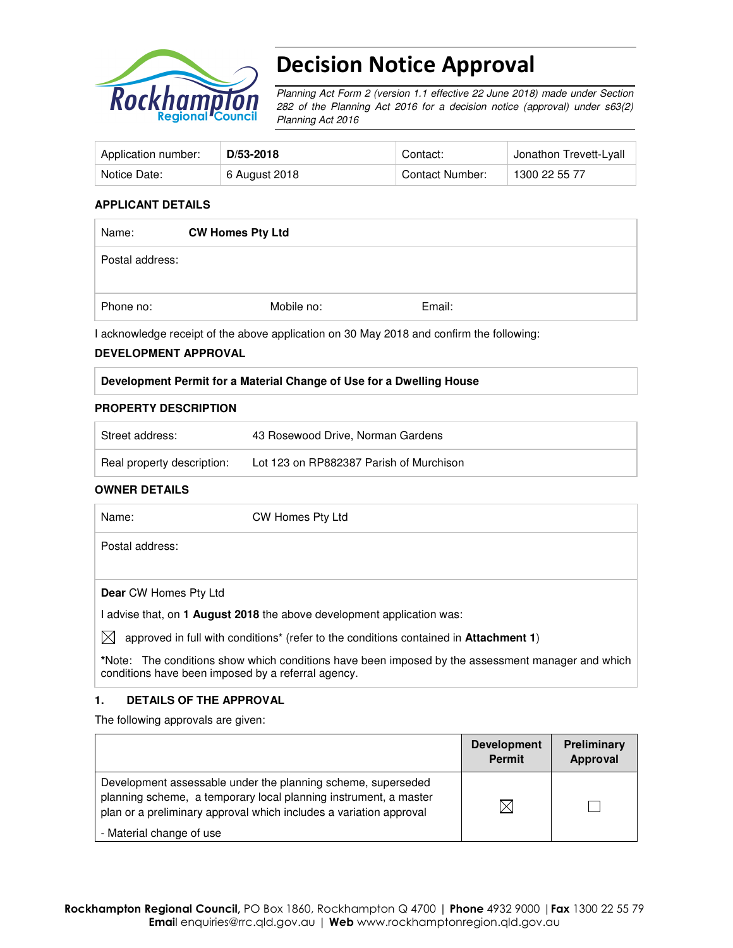

# Decision Notice Approval

Planning Act Form 2 (version 1.1 effective 22 June 2018) made under Section 282 of the Planning Act 2016 for a decision notice (approval) under s63(2) Planning Act 2016

| Application number: | D/53-2018     | Contact:        | Jonathon Trevett-Lyall |
|---------------------|---------------|-----------------|------------------------|
| Notice Date:        | 6 August 2018 | Contact Number: | 1300 22 55 77          |

#### **APPLICANT DETAILS**

| Name:           | <b>CW Homes Pty Ltd</b> |        |  |
|-----------------|-------------------------|--------|--|
| Postal address: |                         |        |  |
| Phone no:       | Mobile no:              | Email: |  |

I acknowledge receipt of the above application on 30 May 2018 and confirm the following:

#### **DEVELOPMENT APPROVAL**

#### **Development Permit for a Material Change of Use for a Dwelling House**

#### **PROPERTY DESCRIPTION**

| Street address:            | 43 Rosewood Drive, Norman Gardens       |
|----------------------------|-----------------------------------------|
| Real property description: | Lot 123 on RP882387 Parish of Murchison |

#### **OWNER DETAILS**

| Name:                        | CW Homes Pty Ltd                                                                      |
|------------------------------|---------------------------------------------------------------------------------------|
| Postal address:              |                                                                                       |
|                              |                                                                                       |
| <b>Dear CW Homes Pty Ltd</b> |                                                                                       |
|                              | advise that, on 1 August 2018 the above development application was:                  |
| IX                           | approved in full with conditions* (refer to the conditions contained in Attachment 1) |

**\***Note:The conditions show which conditions have been imposed by the assessment manager and which conditions have been imposed by a referral agency.

#### **1. DETAILS OF THE APPROVAL**

The following approvals are given:

|                                                                                                                                                                                                        | <b>Development</b><br><b>Permit</b> | <b>Preliminary</b><br>Approval |
|--------------------------------------------------------------------------------------------------------------------------------------------------------------------------------------------------------|-------------------------------------|--------------------------------|
| Development assessable under the planning scheme, superseded<br>planning scheme, a temporary local planning instrument, a master<br>plan or a preliminary approval which includes a variation approval | M                                   |                                |
| - Material change of use                                                                                                                                                                               |                                     |                                |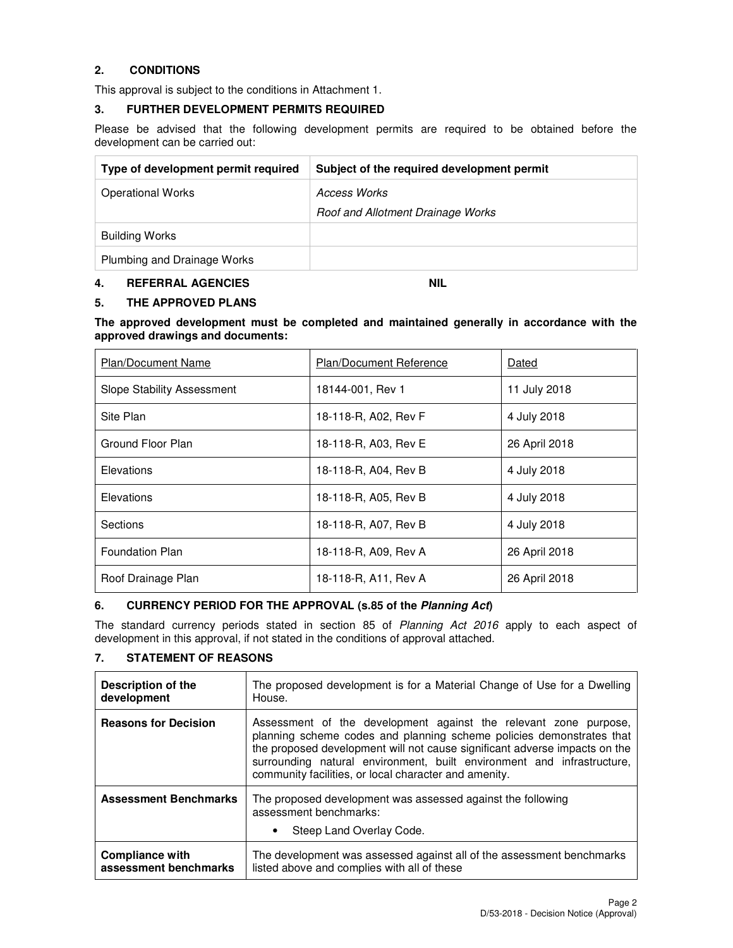### **2. CONDITIONS**

This approval is subject to the conditions in Attachment 1.

#### **3. FURTHER DEVELOPMENT PERMITS REQUIRED**

Please be advised that the following development permits are required to be obtained before the development can be carried out:

| Type of development permit required | Subject of the required development permit |
|-------------------------------------|--------------------------------------------|
| <b>Operational Works</b>            | Access Works                               |
|                                     | Roof and Allotment Drainage Works          |
| <b>Building Works</b>               |                                            |
| Plumbing and Drainage Works         |                                            |

#### **4. REFERRAL AGENCIES NIL**

#### **5. THE APPROVED PLANS**

**The approved development must be completed and maintained generally in accordance with the approved drawings and documents:** 

| <b>Plan/Document Name</b>         | <b>Plan/Document Reference</b> | Dated         |
|-----------------------------------|--------------------------------|---------------|
| <b>Slope Stability Assessment</b> | 18144-001, Rev 1               | 11 July 2018  |
| Site Plan                         | 18-118-R, A02, Rev F           | 4 July 2018   |
| Ground Floor Plan                 | 18-118-R, A03, Rev E           | 26 April 2018 |
| Elevations                        | 18-118-R, A04, Rev B           | 4 July 2018   |
| Elevations                        | 18-118-R, A05, Rev B           | 4 July 2018   |
| Sections                          | 18-118-R, A07, Rev B           | 4 July 2018   |
| <b>Foundation Plan</b>            | 18-118-R, A09, Rev A           | 26 April 2018 |
| Roof Drainage Plan                | 18-118-R, A11, Rev A           | 26 April 2018 |

## **6. CURRENCY PERIOD FOR THE APPROVAL (s.85 of the Planning Act)**

The standard currency periods stated in section 85 of Planning Act 2016 apply to each aspect of development in this approval, if not stated in the conditions of approval attached.

#### **7. STATEMENT OF REASONS**

| Description of the           | The proposed development is for a Material Change of Use for a Dwelling                                                                                                                                                                                                                                                                                   |
|------------------------------|-----------------------------------------------------------------------------------------------------------------------------------------------------------------------------------------------------------------------------------------------------------------------------------------------------------------------------------------------------------|
| development                  | House.                                                                                                                                                                                                                                                                                                                                                    |
| <b>Reasons for Decision</b>  | Assessment of the development against the relevant zone purpose,<br>planning scheme codes and planning scheme policies demonstrates that<br>the proposed development will not cause significant adverse impacts on the<br>surrounding natural environment, built environment and infrastructure,<br>community facilities, or local character and amenity. |
| <b>Assessment Benchmarks</b> | The proposed development was assessed against the following<br>assessment benchmarks:<br>Steep Land Overlay Code.                                                                                                                                                                                                                                         |
| <b>Compliance with</b>       | The development was assessed against all of the assessment benchmarks                                                                                                                                                                                                                                                                                     |
| assessment benchmarks        | listed above and complies with all of these                                                                                                                                                                                                                                                                                                               |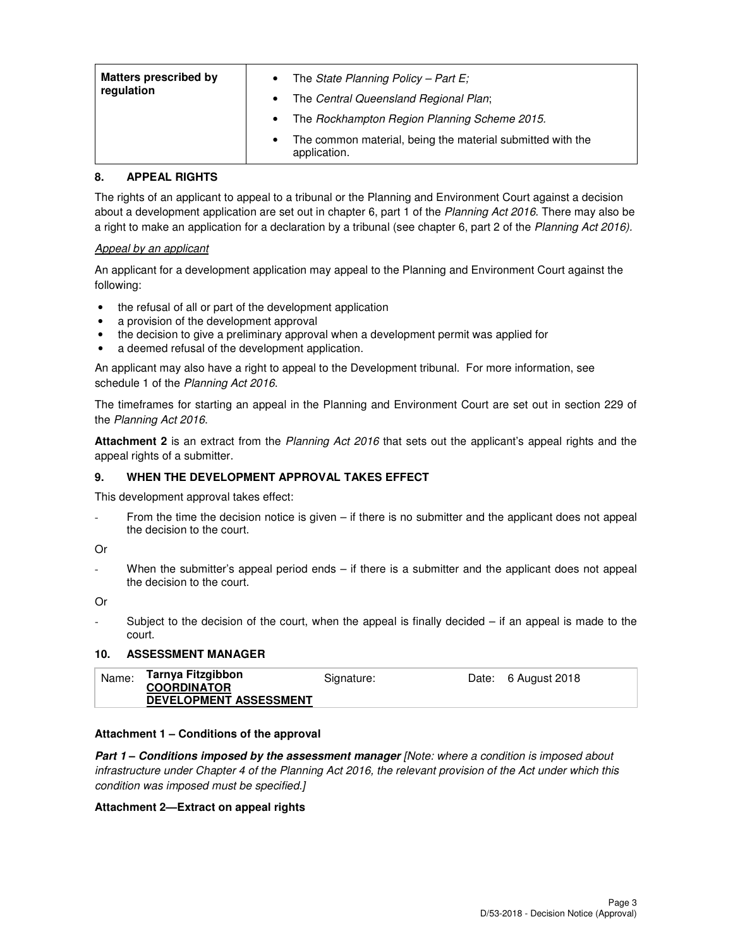| <b>Matters prescribed by</b><br>regulation | • The State Planning Policy – Part E;<br>The Central Queensland Regional Plan;<br>$\bullet$ |
|--------------------------------------------|---------------------------------------------------------------------------------------------|
|                                            | The Rockhampton Region Planning Scheme 2015.                                                |
|                                            | The common material, being the material submitted with the<br>$\bullet$<br>application.     |

## **8. APPEAL RIGHTS**

The rights of an applicant to appeal to a tribunal or the Planning and Environment Court against a decision about a development application are set out in chapter 6, part 1 of the Planning Act 2016. There may also be a right to make an application for a declaration by a tribunal (see chapter 6, part 2 of the Planning Act 2016).

#### Appeal by an applicant

An applicant for a development application may appeal to the Planning and Environment Court against the following:

- the refusal of all or part of the development application
- a provision of the development approval
- the decision to give a preliminary approval when a development permit was applied for
- a deemed refusal of the development application.

An applicant may also have a right to appeal to the Development tribunal. For more information, see schedule 1 of the Planning Act 2016.

The timeframes for starting an appeal in the Planning and Environment Court are set out in section 229 of the Planning Act 2016.

**Attachment 2** is an extract from the Planning Act 2016 that sets out the applicant's appeal rights and the appeal rights of a submitter.

## **9. WHEN THE DEVELOPMENT APPROVAL TAKES EFFECT**

This development approval takes effect:

From the time the decision notice is given – if there is no submitter and the applicant does not appeal the decision to the court.

Or

When the submitter's appeal period ends – if there is a submitter and the applicant does not appeal the decision to the court.

Or

Subject to the decision of the court, when the appeal is finally decided  $-$  if an appeal is made to the court.

#### **10. ASSESSMENT MANAGER**

| Tarnya Fitzgibbon<br>Name:<br>Date: 6 August 2018<br>Signature:<br><b>COORDINATOR</b><br><b>DEVELOPMENT ASSESSMENT</b> |  |
|------------------------------------------------------------------------------------------------------------------------|--|
|------------------------------------------------------------------------------------------------------------------------|--|

#### **Attachment 1 – Conditions of the approval**

**Part 1 – Conditions imposed by the assessment manager** [Note: where a condition is imposed about infrastructure under Chapter 4 of the Planning Act 2016, the relevant provision of the Act under which this condition was imposed must be specified.]

#### **Attachment 2—Extract on appeal rights**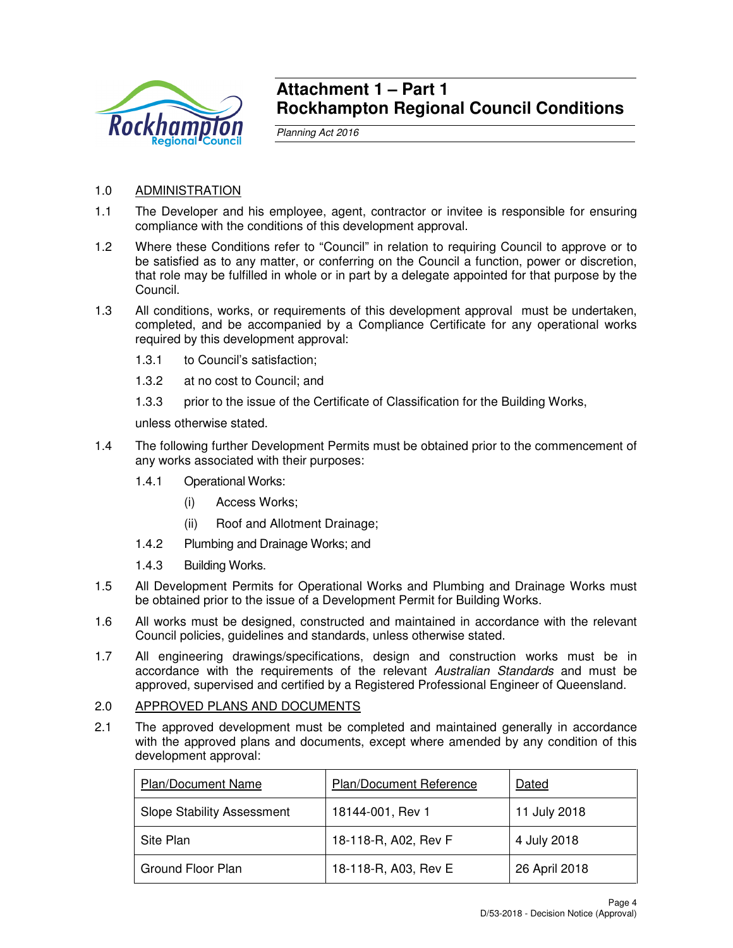

## **Attachment 1 – Part 1 Rockhampton Regional Council Conditions**

Planning Act 2016

## 1.0 ADMINISTRATION

- 1.1 The Developer and his employee, agent, contractor or invitee is responsible for ensuring compliance with the conditions of this development approval.
- 1.2 Where these Conditions refer to "Council" in relation to requiring Council to approve or to be satisfied as to any matter, or conferring on the Council a function, power or discretion, that role may be fulfilled in whole or in part by a delegate appointed for that purpose by the Council.
- 1.3 All conditions, works, or requirements of this development approval must be undertaken, completed, and be accompanied by a Compliance Certificate for any operational works required by this development approval:
	- 1.3.1 to Council's satisfaction;
	- 1.3.2 at no cost to Council; and
	- 1.3.3 prior to the issue of the Certificate of Classification for the Building Works,

unless otherwise stated.

- 1.4 The following further Development Permits must be obtained prior to the commencement of any works associated with their purposes:
	- 1.4.1 Operational Works:
		- (i) Access Works;
		- (ii) Roof and Allotment Drainage;
	- 1.4.2 Plumbing and Drainage Works; and
	- 1.4.3 Building Works.
- 1.5 All Development Permits for Operational Works and Plumbing and Drainage Works must be obtained prior to the issue of a Development Permit for Building Works.
- 1.6 All works must be designed, constructed and maintained in accordance with the relevant Council policies, guidelines and standards, unless otherwise stated.
- 1.7 All engineering drawings/specifications, design and construction works must be in accordance with the requirements of the relevant Australian Standards and must be approved, supervised and certified by a Registered Professional Engineer of Queensland.
- 2.0 APPROVED PLANS AND DOCUMENTS
- 2.1 The approved development must be completed and maintained generally in accordance with the approved plans and documents, except where amended by any condition of this development approval:

| Plan/Document Name                | Plan/Document Reference | Dated         |
|-----------------------------------|-------------------------|---------------|
| <b>Slope Stability Assessment</b> | 18144-001, Rev 1        | 11 July 2018  |
| Site Plan                         | 18-118-R, A02, Rev F    | 4 July 2018   |
| Ground Floor Plan                 | 18-118-R, A03, Rev E    | 26 April 2018 |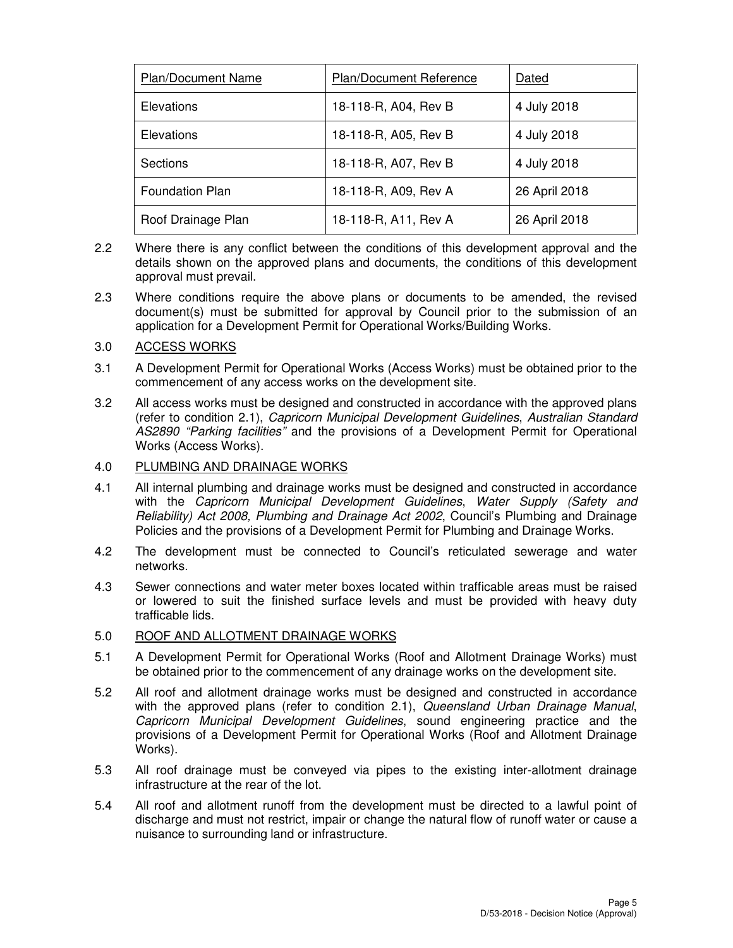| <b>Plan/Document Name</b> | Plan/Document Reference | Dated         |  |
|---------------------------|-------------------------|---------------|--|
| <b>Elevations</b>         | 18-118-R, A04, Rev B    | 4 July 2018   |  |
| Elevations                | 18-118-R, A05, Rev B    | 4 July 2018   |  |
| Sections                  | 18-118-R, A07, Rev B    | 4 July 2018   |  |
| Foundation Plan           | 18-118-R, A09, Rev A    | 26 April 2018 |  |
| Roof Drainage Plan        | 18-118-R, A11, Rev A    | 26 April 2018 |  |

- 2.2 Where there is any conflict between the conditions of this development approval and the details shown on the approved plans and documents, the conditions of this development approval must prevail.
- 2.3 Where conditions require the above plans or documents to be amended, the revised document(s) must be submitted for approval by Council prior to the submission of an application for a Development Permit for Operational Works/Building Works.

#### 3.0 ACCESS WORKS

- 3.1 A Development Permit for Operational Works (Access Works) must be obtained prior to the commencement of any access works on the development site.
- 3.2 All access works must be designed and constructed in accordance with the approved plans (refer to condition 2.1), Capricorn Municipal Development Guidelines, Australian Standard AS2890 "Parking facilities" and the provisions of a Development Permit for Operational Works (Access Works).

### 4.0 PLUMBING AND DRAINAGE WORKS

- 4.1 All internal plumbing and drainage works must be designed and constructed in accordance with the Capricorn Municipal Development Guidelines, Water Supply (Safety and Reliability) Act 2008, Plumbing and Drainage Act 2002, Council's Plumbing and Drainage Policies and the provisions of a Development Permit for Plumbing and Drainage Works.
- 4.2 The development must be connected to Council's reticulated sewerage and water networks.
- 4.3 Sewer connections and water meter boxes located within trafficable areas must be raised or lowered to suit the finished surface levels and must be provided with heavy duty trafficable lids.

### 5.0 ROOF AND ALLOTMENT DRAINAGE WORKS

- 5.1 A Development Permit for Operational Works (Roof and Allotment Drainage Works) must be obtained prior to the commencement of any drainage works on the development site.
- 5.2 All roof and allotment drainage works must be designed and constructed in accordance with the approved plans (refer to condition 2.1), Queensland Urban Drainage Manual, Capricorn Municipal Development Guidelines, sound engineering practice and the provisions of a Development Permit for Operational Works (Roof and Allotment Drainage Works).
- 5.3 All roof drainage must be conveyed via pipes to the existing inter-allotment drainage infrastructure at the rear of the lot.
- 5.4 All roof and allotment runoff from the development must be directed to a lawful point of discharge and must not restrict, impair or change the natural flow of runoff water or cause a nuisance to surrounding land or infrastructure.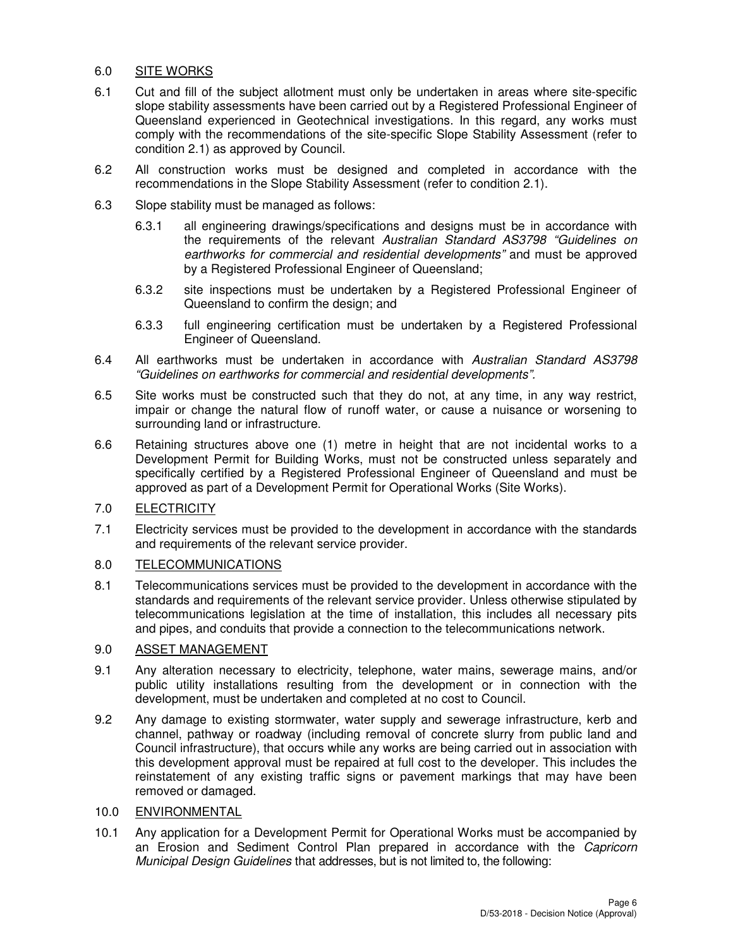#### 6.0 SITE WORKS

- 6.1 Cut and fill of the subject allotment must only be undertaken in areas where site-specific slope stability assessments have been carried out by a Registered Professional Engineer of Queensland experienced in Geotechnical investigations. In this regard, any works must comply with the recommendations of the site-specific Slope Stability Assessment (refer to condition 2.1) as approved by Council.
- 6.2 All construction works must be designed and completed in accordance with the recommendations in the Slope Stability Assessment (refer to condition 2.1).
- 6.3 Slope stability must be managed as follows:
	- 6.3.1 all engineering drawings/specifications and designs must be in accordance with the requirements of the relevant Australian Standard AS3798 "Guidelines on earthworks for commercial and residential developments" and must be approved by a Registered Professional Engineer of Queensland;
	- 6.3.2 site inspections must be undertaken by a Registered Professional Engineer of Queensland to confirm the design; and
	- 6.3.3 full engineering certification must be undertaken by a Registered Professional Engineer of Queensland.
- 6.4 All earthworks must be undertaken in accordance with Australian Standard AS3798 "Guidelines on earthworks for commercial and residential developments".
- 6.5 Site works must be constructed such that they do not, at any time, in any way restrict, impair or change the natural flow of runoff water, or cause a nuisance or worsening to surrounding land or infrastructure.
- 6.6 Retaining structures above one (1) metre in height that are not incidental works to a Development Permit for Building Works, must not be constructed unless separately and specifically certified by a Registered Professional Engineer of Queensland and must be approved as part of a Development Permit for Operational Works (Site Works).

### 7.0 ELECTRICITY

7.1 Electricity services must be provided to the development in accordance with the standards and requirements of the relevant service provider.

#### 8.0 TELECOMMUNICATIONS

8.1 Telecommunications services must be provided to the development in accordance with the standards and requirements of the relevant service provider. Unless otherwise stipulated by telecommunications legislation at the time of installation, this includes all necessary pits and pipes, and conduits that provide a connection to the telecommunications network.

#### 9.0 ASSET MANAGEMENT

- 9.1 Any alteration necessary to electricity, telephone, water mains, sewerage mains, and/or public utility installations resulting from the development or in connection with the development, must be undertaken and completed at no cost to Council.
- 9.2 Any damage to existing stormwater, water supply and sewerage infrastructure, kerb and channel, pathway or roadway (including removal of concrete slurry from public land and Council infrastructure), that occurs while any works are being carried out in association with this development approval must be repaired at full cost to the developer. This includes the reinstatement of any existing traffic signs or pavement markings that may have been removed or damaged.

#### 10.0 ENVIRONMENTAL

10.1 Any application for a Development Permit for Operational Works must be accompanied by an Erosion and Sediment Control Plan prepared in accordance with the Capricorn Municipal Design Guidelines that addresses, but is not limited to, the following: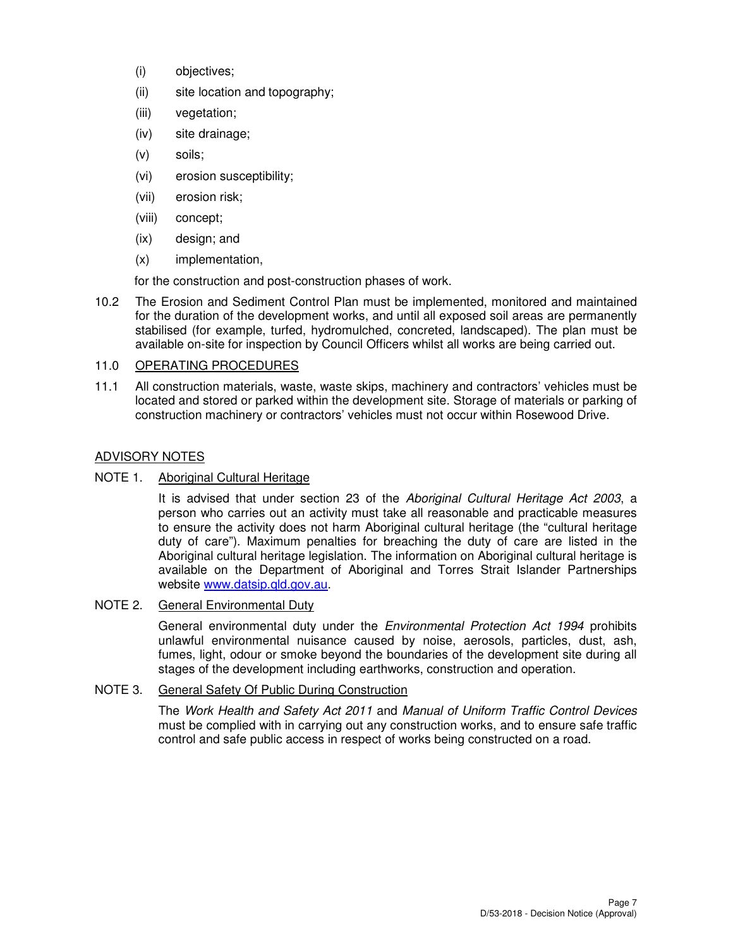- (i) objectives;
- (ii) site location and topography;
- (iii) vegetation;
- (iv) site drainage;
- (v) soils;
- (vi) erosion susceptibility;
- (vii) erosion risk;
- (viii) concept;
- (ix) design; and
- (x) implementation,

for the construction and post-construction phases of work.

10.2 The Erosion and Sediment Control Plan must be implemented, monitored and maintained for the duration of the development works, and until all exposed soil areas are permanently stabilised (for example, turfed, hydromulched, concreted, landscaped). The plan must be available on-site for inspection by Council Officers whilst all works are being carried out.

## 11.0 OPERATING PROCEDURES

11.1 All construction materials, waste, waste skips, machinery and contractors' vehicles must be located and stored or parked within the development site. Storage of materials or parking of construction machinery or contractors' vehicles must not occur within Rosewood Drive.

## ADVISORY NOTES

### NOTE 1. Aboriginal Cultural Heritage

It is advised that under section 23 of the Aboriginal Cultural Heritage Act 2003, a person who carries out an activity must take all reasonable and practicable measures to ensure the activity does not harm Aboriginal cultural heritage (the "cultural heritage duty of care"). Maximum penalties for breaching the duty of care are listed in the Aboriginal cultural heritage legislation. The information on Aboriginal cultural heritage is available on the Department of Aboriginal and Torres Strait Islander Partnerships website www.datsip.qld.gov.au.

## NOTE 2. General Environmental Duty

General environmental duty under the *Environmental Protection Act 1994* prohibits unlawful environmental nuisance caused by noise, aerosols, particles, dust, ash, fumes, light, odour or smoke beyond the boundaries of the development site during all stages of the development including earthworks, construction and operation.

### NOTE 3. General Safety Of Public During Construction

The Work Health and Safety Act 2011 and Manual of Uniform Traffic Control Devices must be complied with in carrying out any construction works, and to ensure safe traffic control and safe public access in respect of works being constructed on a road.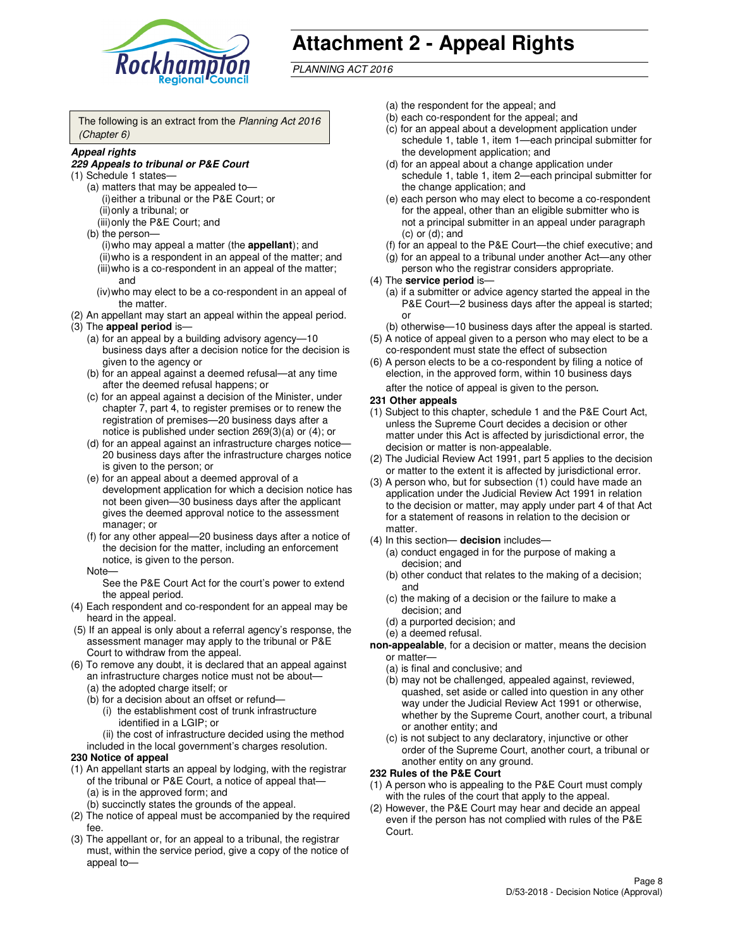

# **Attachment 2 - Appeal Rights**

PLANNING ACT 2016

The following is an extract from the Planning Act 2016 (Chapter 6)

#### **Appeal rights**

#### **229 Appeals to tribunal or P&E Court**

- (1) Schedule 1 states—
	- (a) matters that may be appealed to— (i) either a tribunal or the P&E Court; or (ii) only a tribunal; or (iii) only the P&E Court; and
	- (b) the person—
		- (i) who may appeal a matter (the **appellant**); and
		- (ii) who is a respondent in an appeal of the matter; and (iii) who is a co-respondent in an appeal of the matter; and
		- (iv) who may elect to be a co-respondent in an appeal of the matter.
- (2) An appellant may start an appeal within the appeal period.
- (3) The **appeal period** is—
	- (a) for an appeal by a building advisory agency—10 business days after a decision notice for the decision is given to the agency or
	- (b) for an appeal against a deemed refusal—at any time after the deemed refusal happens; or
	- (c) for an appeal against a decision of the Minister, under chapter 7, part 4, to register premises or to renew the registration of premises—20 business days after a notice is published under section 269(3)(a) or (4); or
	- (d) for an appeal against an infrastructure charges notice— 20 business days after the infrastructure charges notice is given to the person; or
	- (e) for an appeal about a deemed approval of a development application for which a decision notice has not been given—30 business days after the applicant gives the deemed approval notice to the assessment manager; or
	- (f) for any other appeal—20 business days after a notice of the decision for the matter, including an enforcement notice, is given to the person.
	- Note—

See the P&E Court Act for the court's power to extend the appeal period.

- (4) Each respondent and co-respondent for an appeal may be heard in the appeal.
- (5) If an appeal is only about a referral agency's response, the assessment manager may apply to the tribunal or P&E Court to withdraw from the appeal.
- (6) To remove any doubt, it is declared that an appeal against an infrastructure charges notice must not be about—
	- (a) the adopted charge itself; or
	- (b) for a decision about an offset or refund—
		- (i) the establishment cost of trunk infrastructure identified in a LGIP; or
		- (ii) the cost of infrastructure decided using the method
- included in the local government's charges resolution. **230 Notice of appeal**
- (1) An appellant starts an appeal by lodging, with the registrar
	- of the tribunal or P&E Court, a notice of appeal that— (a) is in the approved form; and
		- (b) succinctly states the grounds of the appeal.
- (2) The notice of appeal must be accompanied by the required fee.
- (3) The appellant or, for an appeal to a tribunal, the registrar must, within the service period, give a copy of the notice of appeal to—
- (a) the respondent for the appeal; and
- (b) each co-respondent for the appeal; and
- (c) for an appeal about a development application under schedule 1, table 1, item 1—each principal submitter for the development application; and
- (d) for an appeal about a change application under schedule 1, table 1, item 2—each principal submitter for the change application; and
- (e) each person who may elect to become a co-respondent for the appeal, other than an eligible submitter who is not a principal submitter in an appeal under paragraph  $(c)$  or  $(d)$ ; and
- (f) for an appeal to the P&E Court—the chief executive; and
- (g) for an appeal to a tribunal under another Act—any other person who the registrar considers appropriate.
- (4) The **service period** is—
	- (a) if a submitter or advice agency started the appeal in the P&E Court—2 business days after the appeal is started; or
	- (b) otherwise—10 business days after the appeal is started.
- (5) A notice of appeal given to a person who may elect to be a co-respondent must state the effect of subsection
- (6) A person elects to be a co-respondent by filing a notice of election, in the approved form, within 10 business days after the notice of appeal is given to the person*.*
- **231 Other appeals**
- (1) Subject to this chapter, schedule 1 and the P&E Court Act, unless the Supreme Court decides a decision or other matter under this Act is affected by jurisdictional error, the decision or matter is non-appealable.
- (2) The Judicial Review Act 1991, part 5 applies to the decision or matter to the extent it is affected by jurisdictional error.
- (3) A person who, but for subsection (1) could have made an application under the Judicial Review Act 1991 in relation to the decision or matter, may apply under part 4 of that Act for a statement of reasons in relation to the decision or matter.
- (4) In this section— **decision** includes—
	- (a) conduct engaged in for the purpose of making a decision; and
	- (b) other conduct that relates to the making of a decision; and
	- (c) the making of a decision or the failure to make a decision; and
	- (d) a purported decision; and
	- (e) a deemed refusal.

**non-appealable**, for a decision or matter, means the decision or matter—

- (a) is final and conclusive; and
- (b) may not be challenged, appealed against, reviewed, quashed, set aside or called into question in any other way under the Judicial Review Act 1991 or otherwise, whether by the Supreme Court, another court, a tribunal or another entity; and
- (c) is not subject to any declaratory, injunctive or other order of the Supreme Court, another court, a tribunal or another entity on any ground.

#### **232 Rules of the P&E Court**

- (1) A person who is appealing to the P&E Court must comply with the rules of the court that apply to the appeal.
- (2) However, the P&E Court may hear and decide an appeal even if the person has not complied with rules of the P&E Court.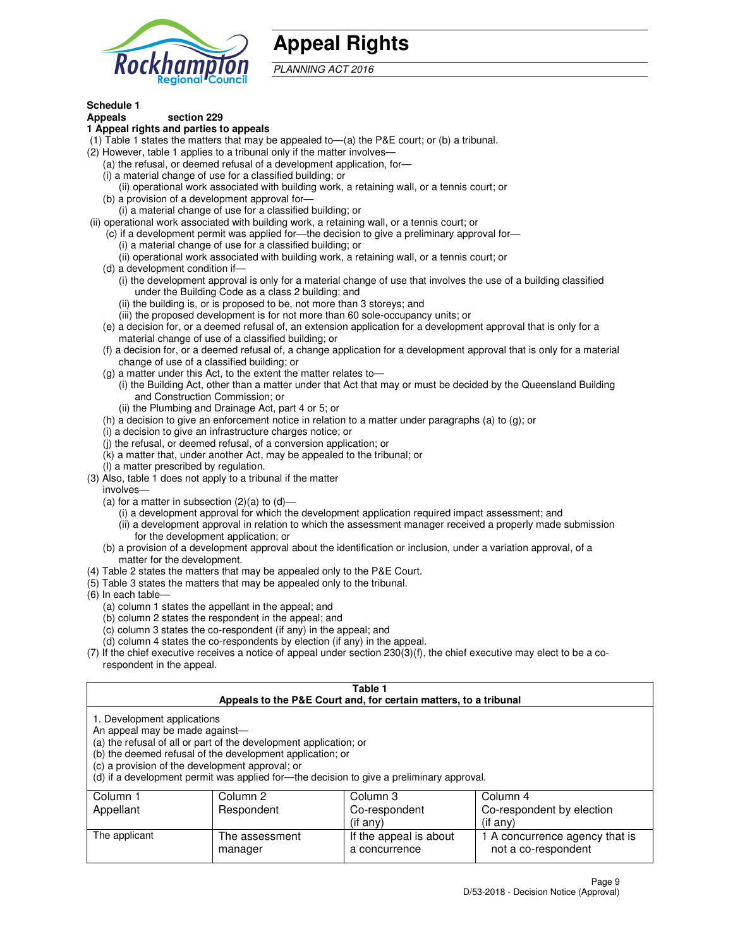

## **Appeal Rights**

PLANNING ACT 2016

## **Schedule 1**

### **Appeals section 229**

#### **1 Appeal rights and parties to appeals**

- (1) Table 1 states the matters that may be appealed to—(a) the P&E court; or (b) a tribunal.
- (2) However, table 1 applies to a tribunal only if the matter involves—
	- (a) the refusal, or deemed refusal of a development application, for—
	- (i) a material change of use for a classified building; or
	- (ii) operational work associated with building work, a retaining wall, or a tennis court; or
	- (b) a provision of a development approval for—
	- (i) a material change of use for a classified building; or
- (ii) operational work associated with building work, a retaining wall, or a tennis court; or
	- (c) if a development permit was applied for—the decision to give a preliminary approval for—
		- (i) a material change of use for a classified building; or
		- (ii) operational work associated with building work, a retaining wall, or a tennis court; or
	- (d) a development condition if—
		- (i) the development approval is only for a material change of use that involves the use of a building classified under the Building Code as a class 2 building; and
		- (ii) the building is, or is proposed to be, not more than 3 storeys; and
		- (iii) the proposed development is for not more than 60 sole-occupancy units; or
	- (e) a decision for, or a deemed refusal of, an extension application for a development approval that is only for a material change of use of a classified building; or
	- (f) a decision for, or a deemed refusal of, a change application for a development approval that is only for a material change of use of a classified building; or
	- (g) a matter under this Act, to the extent the matter relates to—
		- (i) the Building Act, other than a matter under that Act that may or must be decided by the Queensland Building and Construction Commission; or
		- (ii) the Plumbing and Drainage Act, part 4 or 5; or
	- (h) a decision to give an enforcement notice in relation to a matter under paragraphs (a) to (g); or
	- (i) a decision to give an infrastructure charges notice; or
	- (j) the refusal, or deemed refusal, of a conversion application; or
	- (k) a matter that, under another Act, may be appealed to the tribunal; or
	- (l) a matter prescribed by regulation.
- (3) Also, table 1 does not apply to a tribunal if the matter
	- involves—
	- (a) for a matter in subsection  $(2)(a)$  to  $(d)$ 
		- (i) a development approval for which the development application required impact assessment; and
		- (ii) a development approval in relation to which the assessment manager received a properly made submission for the development application; or
	- (b) a provision of a development approval about the identification or inclusion, under a variation approval, of a matter for the development.
- (4) Table 2 states the matters that may be appealed only to the P&E Court.
- (5) Table 3 states the matters that may be appealed only to the tribunal.
- (6) In each table—
	- (a) column 1 states the appellant in the appeal; and
	- (b) column 2 states the respondent in the appeal; and
	- (c) column 3 states the co-respondent (if any) in the appeal; and
	- (d) column 4 states the co-respondents by election (if any) in the appeal.
- $(7)$  If the chief executive receives a notice of appeal under section  $230(3)(f)$ , the chief executive may elect to be a corespondent in the appeal.

| Table 1<br>Appeals to the P&E Court and, for certain matters, to a tribunal                                                                                                                                                                                                                                                                    |                           |                                         |                                                       |  |
|------------------------------------------------------------------------------------------------------------------------------------------------------------------------------------------------------------------------------------------------------------------------------------------------------------------------------------------------|---------------------------|-----------------------------------------|-------------------------------------------------------|--|
| 1. Development applications<br>An appeal may be made against-<br>(a) the refusal of all or part of the development application; or<br>(b) the deemed refusal of the development application; or<br>(c) a provision of the development approval; or<br>(d) if a development permit was applied for-the decision to give a preliminary approval. |                           |                                         |                                                       |  |
| Column 3<br>Column 2<br>Column 4<br>Column 1                                                                                                                                                                                                                                                                                                   |                           |                                         |                                                       |  |
| Appellant                                                                                                                                                                                                                                                                                                                                      | Respondent                | Co-respondent                           | Co-respondent by election                             |  |
| $($ if any $)$<br>$($ if any $)$                                                                                                                                                                                                                                                                                                               |                           |                                         |                                                       |  |
| The applicant                                                                                                                                                                                                                                                                                                                                  | The assessment<br>manager | If the appeal is about<br>a concurrence | 1 A concurrence agency that is<br>not a co-respondent |  |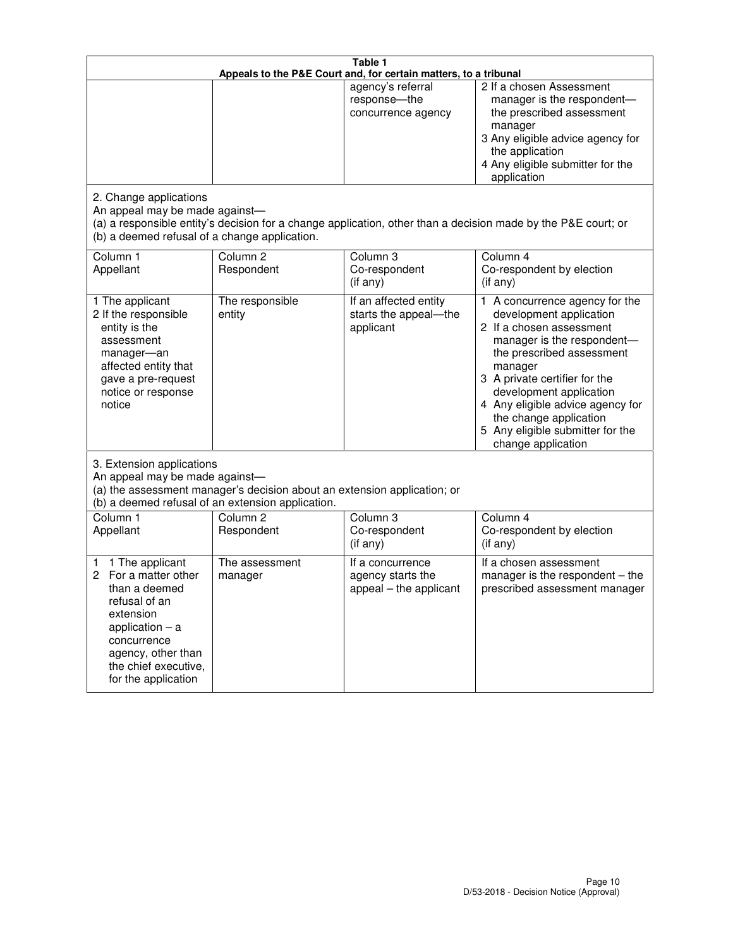| Table 1<br>Appeals to the P&E Court and, for certain matters, to a tribunal                                                                                                                             |                                   |                                                                 |                                                                                                                                                                                                                                                                                                                                                 |  |
|---------------------------------------------------------------------------------------------------------------------------------------------------------------------------------------------------------|-----------------------------------|-----------------------------------------------------------------|-------------------------------------------------------------------------------------------------------------------------------------------------------------------------------------------------------------------------------------------------------------------------------------------------------------------------------------------------|--|
|                                                                                                                                                                                                         |                                   | agency's referral<br>response-the<br>concurrence agency         | 2 If a chosen Assessment<br>manager is the respondent-<br>the prescribed assessment<br>manager<br>3 Any eligible advice agency for<br>the application<br>4 Any eligible submitter for the<br>application                                                                                                                                        |  |
| 2. Change applications<br>An appeal may be made against-<br>(b) a deemed refusal of a change application.                                                                                               |                                   |                                                                 | (a) a responsible entity's decision for a change application, other than a decision made by the P&E court; or                                                                                                                                                                                                                                   |  |
| Column 1<br>Appellant                                                                                                                                                                                   | Column <sub>2</sub><br>Respondent | Column 3<br>Co-respondent<br>(if any)                           | Column 4<br>Co-respondent by election<br>(if any)                                                                                                                                                                                                                                                                                               |  |
| 1 The applicant<br>2 If the responsible<br>entity is the<br>assessment<br>manager-an<br>affected entity that<br>gave a pre-request<br>notice or response<br>notice                                      | The responsible<br>entity         | If an affected entity<br>starts the appeal-the<br>applicant     | 1 A concurrence agency for the<br>development application<br>2 If a chosen assessment<br>manager is the respondent-<br>the prescribed assessment<br>manager<br>3 A private certifier for the<br>development application<br>4 Any eligible advice agency for<br>the change application<br>5 Any eligible submitter for the<br>change application |  |
| 3. Extension applications<br>An appeal may be made against-<br>(a) the assessment manager's decision about an extension application; or<br>(b) a deemed refusal of an extension application.            |                                   |                                                                 |                                                                                                                                                                                                                                                                                                                                                 |  |
| Column 1<br>Appellant                                                                                                                                                                                   | Column <sub>2</sub><br>Respondent | Column <sub>3</sub><br>Co-respondent<br>(if any)                | Column 4<br>Co-respondent by election<br>(if any)                                                                                                                                                                                                                                                                                               |  |
| 1 The applicant<br>1<br>For a matter other<br>2<br>than a deemed<br>refusal of an<br>extension<br>application $-$ a<br>concurrence<br>agency, other than<br>the chief executive,<br>for the application | The assessment<br>manager         | If a concurrence<br>agency starts the<br>appeal - the applicant | If a chosen assessment<br>manager is the respondent $-$ the<br>prescribed assessment manager                                                                                                                                                                                                                                                    |  |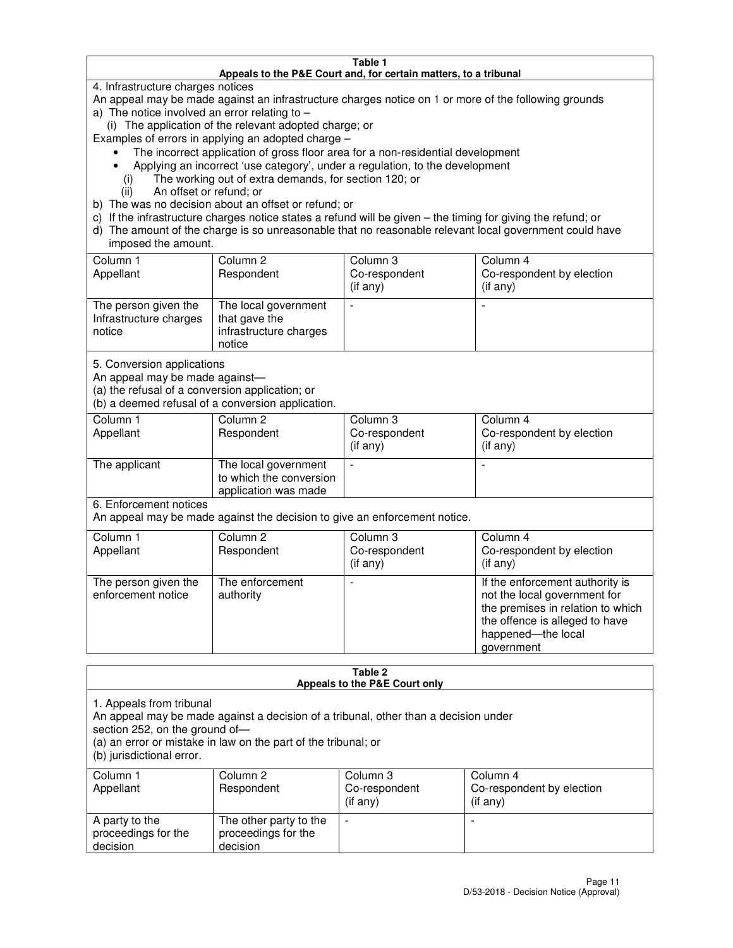#### **Table 1 Appeals to the P&E Court and, for certain matters, to a tribunal**

4. Infrastructure charges notices

An appeal may be made against an infrastructure charges notice on 1 or more of the following grounds

- a) The notice involved an error relating to
	- (i) The application of the relevant adopted charge; or
- Examples of errors in applying an adopted charge
	- The incorrect application of gross floor area for a non-residential development
	- Applying an incorrect 'use category', under a regulation, to the development
		- (i) The working out of extra demands, for section 120; or
		- (ii) An offset or refund; or
- b) The was no decision about an offset or refund; or
- c) If the infrastructure charges notice states a refund will be given the timing for giving the refund; or
- d) The amount of the charge is so unreasonable that no reasonable relevant local government could have imposed the amount.

| Column 1<br>Appellant                                    | Column 2<br>Respondent                                                    | Column 3<br>Co-respondent<br>$($ if any $)$ | Column 4<br>Co-respondent by election<br>$($ if any $)$ |
|----------------------------------------------------------|---------------------------------------------------------------------------|---------------------------------------------|---------------------------------------------------------|
| The person given the<br>Infrastructure charges<br>notice | The local government<br>that gave the<br>infrastructure charges<br>notice |                                             |                                                         |

5. Conversion applications

An appeal may be made against—

(a) the refusal of a conversion application; or

(b) a deemed refusal of a conversion application.

| Column 1<br>Appellant | Column 2<br>Respondent                                                  | Column 3<br>Co-respondent<br>$($ if any $)$ | Column 4<br>Co-respondent by election<br>$($ if any $)$ |
|-----------------------|-------------------------------------------------------------------------|---------------------------------------------|---------------------------------------------------------|
| The applicant         | The local government<br>to which the conversion<br>application was made |                                             |                                                         |

6. Enforcement notices

An appeal may be made against the decision to give an enforcement notice.

| Column 1<br>Appellant                      | Column 2<br>Respondent       | Column 3<br>Co-respondent<br>$($ if any $)$ | Column 4<br>Co-respondent by election<br>(if any)                                                                                                                          |
|--------------------------------------------|------------------------------|---------------------------------------------|----------------------------------------------------------------------------------------------------------------------------------------------------------------------------|
| The person given the<br>enforcement notice | The enforcement<br>authority |                                             | If the enforcement authority is<br>not the local government for<br>the premises in relation to which<br>the offence is alleged to have<br>happened-the local<br>government |

#### **Table 2 Appeals to the P&E Court only**

1. Appeals from tribunal

An appeal may be made against a decision of a tribunal, other than a decision under

section 252, on the ground of—

(a) an error or mistake in law on the part of the tribunal; or

(b) jurisdictional error.

| Column 1<br>Appellant                             | Column 2<br>Respondent                                    | Column 3<br>Co-respondent<br>(if any) | Column 4<br>Co-respondent by election<br>(if any) |
|---------------------------------------------------|-----------------------------------------------------------|---------------------------------------|---------------------------------------------------|
| A party to the<br>proceedings for the<br>decision | The other party to the<br>proceedings for the<br>decision | -                                     |                                                   |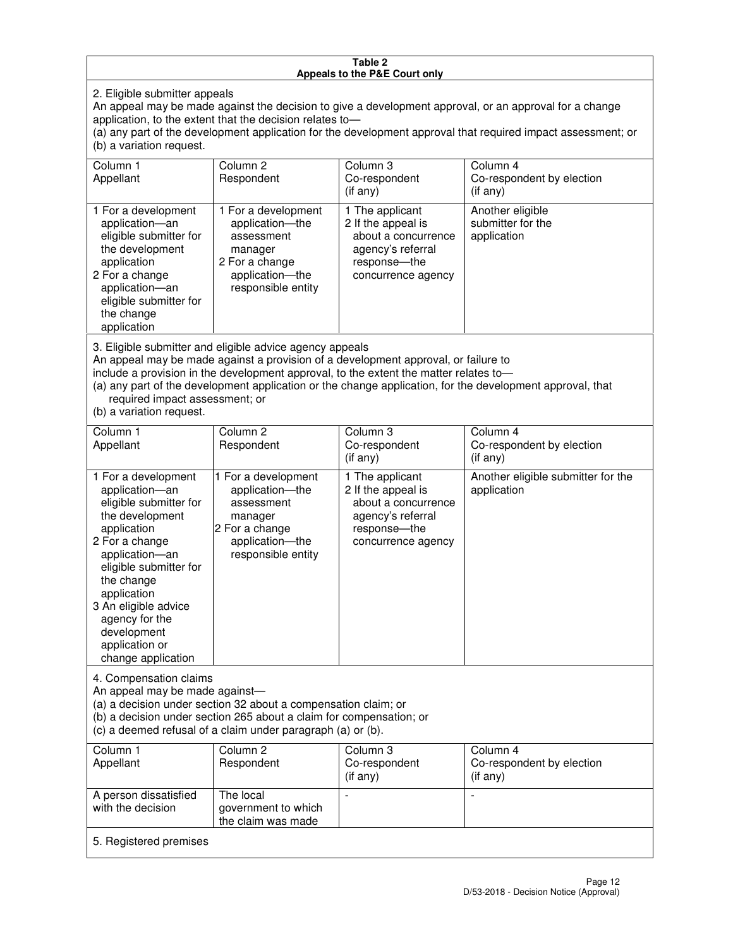#### **Table 2 Appeals to the P&E Court only**

2. Eligible submitter appeals

An appeal may be made against the decision to give a development approval, or an approval for a change application, to the extent that the decision relates to—

(a) any part of the development application for the development approval that required impact assessment; or (b) a variation request.

| Column 1<br>Appellant                                                                                                                                                                                                                                                                                                                                                                                              | Column <sub>2</sub><br>Respondent                                                                                          | Column 3<br>Co-respondent<br>(if any)                                                                                     | Column 4<br>Co-respondent by election<br>(i f any)   |  |
|--------------------------------------------------------------------------------------------------------------------------------------------------------------------------------------------------------------------------------------------------------------------------------------------------------------------------------------------------------------------------------------------------------------------|----------------------------------------------------------------------------------------------------------------------------|---------------------------------------------------------------------------------------------------------------------------|------------------------------------------------------|--|
| 1 For a development<br>application-an<br>eligible submitter for<br>the development<br>application<br>2 For a change<br>application-an<br>eligible submitter for<br>the change<br>application                                                                                                                                                                                                                       | 1 For a development<br>application-the<br>assessment<br>manager<br>2 For a change<br>application-the<br>responsible entity | 1 The applicant<br>2 If the appeal is<br>about a concurrence<br>agency's referral<br>response---the<br>concurrence agency | Another eligible<br>submitter for the<br>application |  |
| 3. Eligible submitter and eligible advice agency appeals<br>An appeal may be made against a provision of a development approval, or failure to<br>include a provision in the development approval, to the extent the matter relates to-<br>(a) any part of the development application or the change application, for the development approval, that<br>required impact assessment; or<br>(b) a variation request. |                                                                                                                            |                                                                                                                           |                                                      |  |
| Column 1<br>Appellant                                                                                                                                                                                                                                                                                                                                                                                              | Column <sub>2</sub><br>Respondent                                                                                          | Column 3<br>Co-respondent<br>(if any)                                                                                     | Column 4<br>Co-respondent by election<br>(if any)    |  |
| 1 For a development<br>application-an<br>eligible submitter for<br>the development                                                                                                                                                                                                                                                                                                                                 | 1 For a development<br>application-the<br>assessment<br>manager                                                            | 1 The applicant<br>2 If the appeal is<br>about a concurrence<br>agency's referral                                         | Another eligible submitter for the<br>application    |  |

response—the concurrence agency

change application 4. Compensation claims

application 2 For a change application—an eligible submitter for

the change application 3 An eligible advice agency for the development application or

An appeal may be made against—

(a) a decision under section 32 about a compensation claim; or

2 For a change application—the responsible entity

(b) a decision under section 265 about a claim for compensation; or

(c) a deemed refusal of a claim under paragraph (a) or (b).

| Column 1<br>Appellant                      | Column 2<br>Respondent                                 | Column 3<br>Co-respondent<br>(if any) | Column 4<br>Co-respondent by election<br>$($ if any $)$ |  |
|--------------------------------------------|--------------------------------------------------------|---------------------------------------|---------------------------------------------------------|--|
| A person dissatisfied<br>with the decision | The local<br>government to which<br>the claim was made | -                                     |                                                         |  |
| 5. Registered premises                     |                                                        |                                       |                                                         |  |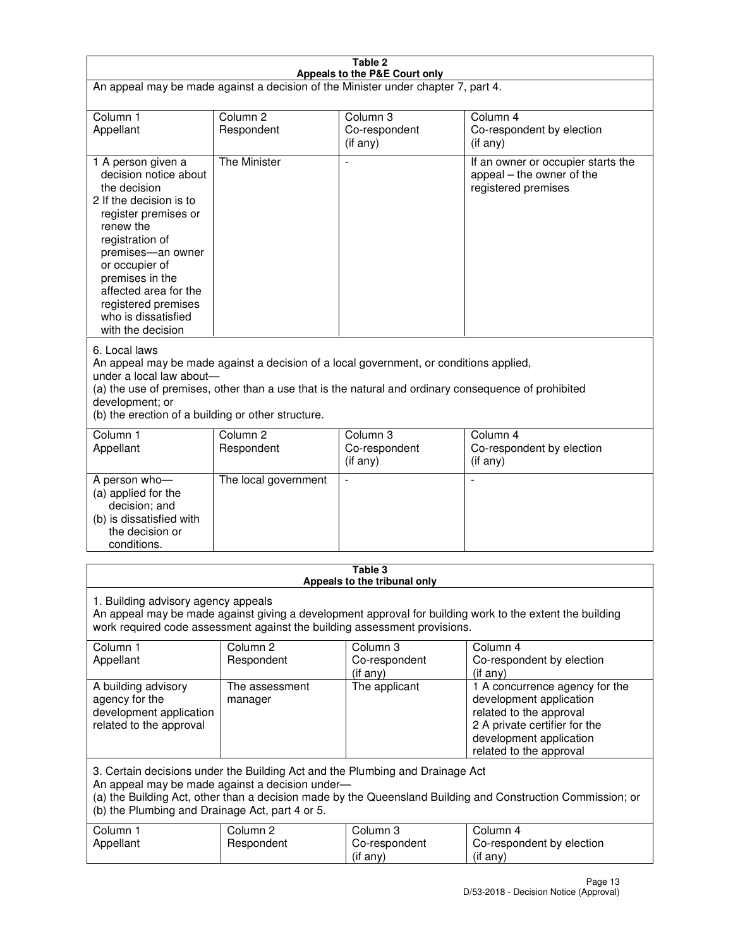| Table 2<br>Appeals to the P&E Court only                                                                                                                                                                                                                                                             |                                   |                                                                                                                                                                                                |                                                                                                                                                                             |  |
|------------------------------------------------------------------------------------------------------------------------------------------------------------------------------------------------------------------------------------------------------------------------------------------------------|-----------------------------------|------------------------------------------------------------------------------------------------------------------------------------------------------------------------------------------------|-----------------------------------------------------------------------------------------------------------------------------------------------------------------------------|--|
| An appeal may be made against a decision of the Minister under chapter 7, part 4.                                                                                                                                                                                                                    |                                   |                                                                                                                                                                                                |                                                                                                                                                                             |  |
|                                                                                                                                                                                                                                                                                                      |                                   |                                                                                                                                                                                                |                                                                                                                                                                             |  |
| Column 1<br>Appellant                                                                                                                                                                                                                                                                                | Column <sub>2</sub><br>Respondent | Column <sub>3</sub><br>Co-respondent                                                                                                                                                           | Column <sub>4</sub><br>Co-respondent by election                                                                                                                            |  |
|                                                                                                                                                                                                                                                                                                      |                                   | $($ if any $)$                                                                                                                                                                                 | (if any)                                                                                                                                                                    |  |
| 1 A person given a<br>decision notice about<br>the decision<br>2 If the decision is to<br>register premises or<br>renew the<br>registration of<br>premises-an owner<br>or occupier of<br>premises in the<br>affected area for the<br>registered premises<br>who is dissatisfied<br>with the decision | <b>The Minister</b>               |                                                                                                                                                                                                | If an owner or occupier starts the<br>appeal – the owner of the<br>registered premises                                                                                      |  |
| 6. Local laws<br>under a local law about-<br>development; or<br>(b) the erection of a building or other structure.                                                                                                                                                                                   |                                   | An appeal may be made against a decision of a local government, or conditions applied,<br>(a) the use of premises, other than a use that is the natural and ordinary consequence of prohibited |                                                                                                                                                                             |  |
| Column 1                                                                                                                                                                                                                                                                                             | Column <sub>2</sub>               | Column 3                                                                                                                                                                                       | Column $\overline{4}$                                                                                                                                                       |  |
| Appellant                                                                                                                                                                                                                                                                                            | Respondent                        | Co-respondent<br>(if any)                                                                                                                                                                      | Co-respondent by election<br>(if any)                                                                                                                                       |  |
| A person who-<br>(a) applied for the<br>decision; and<br>(b) is dissatisfied with<br>the decision or<br>conditions.                                                                                                                                                                                  | The local government              |                                                                                                                                                                                                |                                                                                                                                                                             |  |
|                                                                                                                                                                                                                                                                                                      |                                   | Table 3<br>Appeals to the tribunal only                                                                                                                                                        |                                                                                                                                                                             |  |
| 1. Building advisory agency appeals<br>An appeal may be made against giving a development approval for building work to the extent the building<br>work required code assessment against the building assessment provisions.                                                                         |                                   |                                                                                                                                                                                                |                                                                                                                                                                             |  |
| Column 1<br>Appellant                                                                                                                                                                                                                                                                                | Column <sub>2</sub><br>Respondent | Column 3<br>Co-respondent<br>(if any)                                                                                                                                                          | Column 4<br>Co-respondent by election<br>(if any)                                                                                                                           |  |
| A building advisory<br>agency for the<br>development application<br>related to the approval                                                                                                                                                                                                          | The assessment<br>manager         | The applicant                                                                                                                                                                                  | 1 A concurrence agency for the<br>development application<br>related to the approval<br>2 A private certifier for the<br>development application<br>related to the approval |  |
| 3. Certain decisions under the Building Act and the Plumbing and Drainage Act<br>An appeal may be made against a decision under-<br>(a) the Building Act, other than a decision made by the Queensland Building and Construction Commission; or<br>(b) the Plumbing and Drainage Act, part 4 or 5.   |                                   |                                                                                                                                                                                                |                                                                                                                                                                             |  |
| Column 1<br>Appellant                                                                                                                                                                                                                                                                                | Column <sub>2</sub><br>Respondent | Column 3<br>Co-respondent<br>(if any)                                                                                                                                                          | Column 4<br>Co-respondent by election<br>(if any)                                                                                                                           |  |